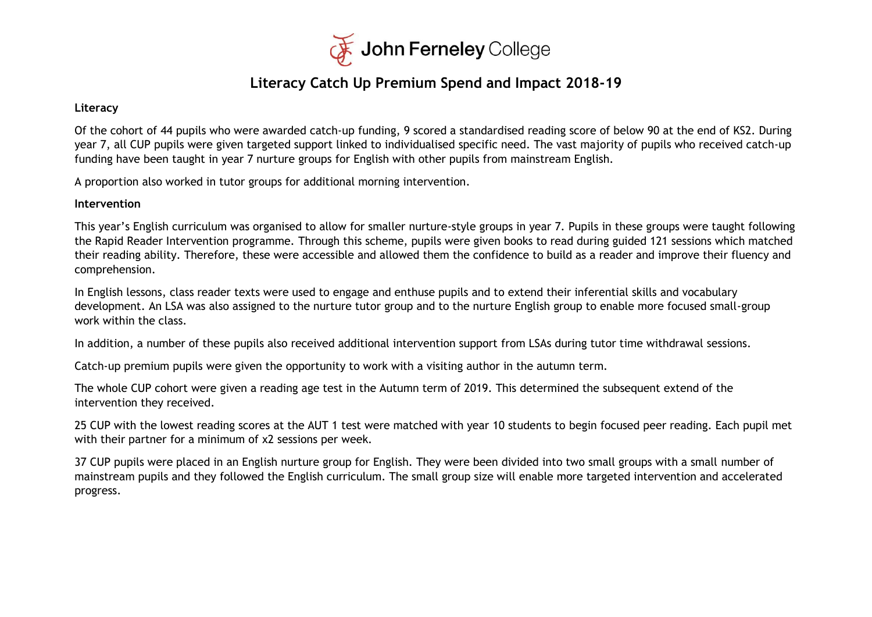

### **Literacy Catch Up Premium Spend and Impact 2018-19**

#### **Literacy**

Of the cohort of 44 pupils who were awarded catch-up funding, 9 scored a standardised reading score of below 90 at the end of KS2. During year 7, all CUP pupils were given targeted support linked to individualised specific need. The vast majority of pupils who received catch-up funding have been taught in year 7 nurture groups for English with other pupils from mainstream English.

A proportion also worked in tutor groups for additional morning intervention.

#### **Intervention**

This year's English curriculum was organised to allow for smaller nurture-style groups in year 7. Pupils in these groups were taught following the Rapid Reader Intervention programme. Through this scheme, pupils were given books to read during guided 121 sessions which matched their reading ability. Therefore, these were accessible and allowed them the confidence to build as a reader and improve their fluency and comprehension.

In English lessons, class reader texts were used to engage and enthuse pupils and to extend their inferential skills and vocabulary development. An LSA was also assigned to the nurture tutor group and to the nurture English group to enable more focused small-group work within the class.

In addition, a number of these pupils also received additional intervention support from LSAs during tutor time withdrawal sessions.

Catch-up premium pupils were given the opportunity to work with a visiting author in the autumn term.

The whole CUP cohort were given a reading age test in the Autumn term of 2019. This determined the subsequent extend of the intervention they received.

25 CUP with the lowest reading scores at the AUT 1 test were matched with year 10 students to begin focused peer reading. Each pupil met with their partner for a minimum of x2 sessions per week.

37 CUP pupils were placed in an English nurture group for English. They were been divided into two small groups with a small number of mainstream pupils and they followed the English curriculum. The small group size will enable more targeted intervention and accelerated progress.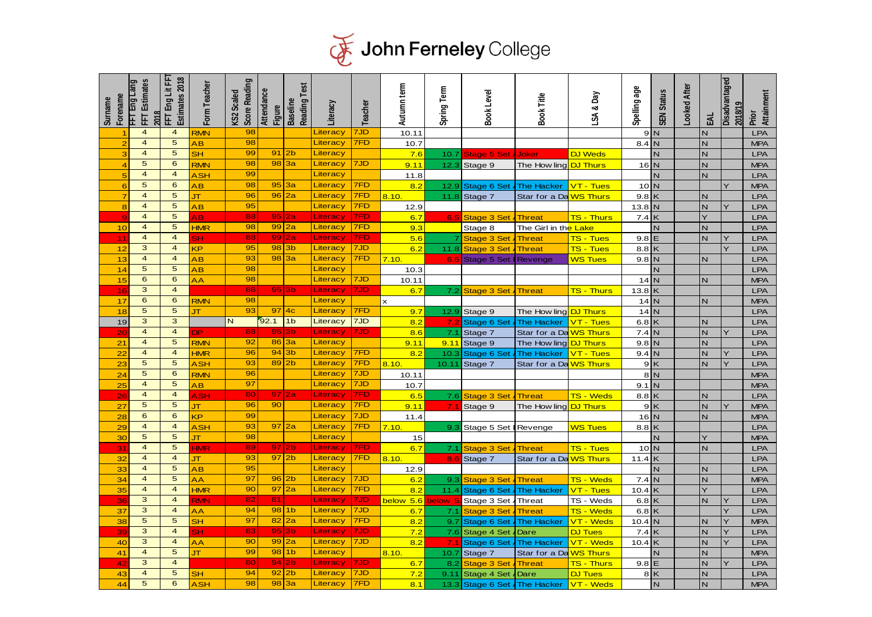

| <b>Surname</b> | Forename       | <b>FFT</b> Estimates<br>FFT Eng Lang<br>2018       | FFT Eng Lit FFT<br>Estimates 2018         | Form Teacher   | Score Reading<br>KS2 Scaled | Attendance<br><b>Figure</b> | Reading Test<br><b>Baseline</b>   | Literacy                         | <b>Teacher</b> | Autumn term   | Spring Term        | <b>Book Level</b>  | Book Title                           | LSA & Day              | Spelling age | <b>SEN Status</b>       | Looked After | 뙃 | Disadvantaged<br>2018/19 | Attainment<br>Prior      |
|----------------|----------------|----------------------------------------------------|-------------------------------------------|----------------|-----------------------------|-----------------------------|-----------------------------------|----------------------------------|----------------|---------------|--------------------|--------------------|--------------------------------------|------------------------|--------------|-------------------------|--------------|---|--------------------------|--------------------------|
|                |                | $\overline{\mathbf{4}}$                            | $\overline{\mathbf{4}}$                   | <b>RMN</b>     | 98                          |                             |                                   | Literacy                         | 7JD            | 10.11         |                    |                    |                                      |                        |              | 9N                      |              | N |                          | LPA                      |
|                |                | $\overline{4}$                                     | 5                                         | ĄΒ             | 98                          |                             |                                   | Literacy                         | 7FD            | 10.7          |                    |                    |                                      |                        | 8.4          |                         |              | N |                          | <b>MPA</b>               |
|                | з              | $\overline{\mathbf{4}}$                            | 5                                         | <b>SH</b>      | 99                          | 91                          | 2 <sub>b</sub>                    | Literacy                         |                | 7.6           | 10.7               | Stage 5 Se         | Joker                                | DJ Weds                |              |                         |              | N |                          | LPA                      |
|                | $\overline{4}$ | 5                                                  | 6                                         | <b>RMN</b>     | 98                          | 98                          | 3a                                | Literacy                         | 7JD            | 9.11          | 12.3               | Stage 9            | The How ling                         | <b>DJ</b> Thurs        | 16           | N                       |              | N |                          | <b>MPA</b>               |
|                |                | $\overline{\mathbf{4}}$                            | $\overline{\mathbf{4}}$                   | ASH            | 99                          |                             |                                   | Literacy                         |                | 11.8          |                    |                    |                                      |                        |              | N                       |              | N |                          | LPA                      |
|                | 6              | 5                                                  | 6                                         | AΒ             | 98                          | 95                          | 3a                                | Literacy                         | 7FD            | 8.2           | 12.9               | Stage 6 Set        | The Hacker                           | VT - Tues              | 10           | IN.                     |              |   | Ŷ                        | <b>MPA</b>               |
|                |                | $\overline{\mathbf{4}}$                            | 5                                         | JТ             | 96                          | 96                          | $\overline{\mathbf{2}}\mathbf{a}$ | Literacy                         | 7FD            | 8.10.         | 11.8               | Stage 7            | Star for a Da <mark>lWS Thurs</mark> |                        | 9.8          | $\overline{\mathsf{k}}$ |              | N |                          | LPA                      |
|                | 8              | $\overline{\mathbf{4}}$                            | 5                                         | ÄΒ             | 95                          |                             |                                   | Literacy                         | 7FD            | 12.9          |                    |                    |                                      |                        | 13.8         | $\overline{\mathsf{N}}$ |              | N | Ý                        | <b>LPA</b>               |
|                |                | $\overline{4}$                                     | 5                                         | ĄΒ             | 88                          | 95                          | 2a<br>2a                          | Literacy                         | 7FD            | 6.7           | 6.5                | <b>Stage 3 Set</b> | <b>Threat</b>                        | <b>TS - Thurs</b>      | 7.4          | $\mathsf{K}$            |              |   |                          | LPA                      |
|                | 10             | $\overline{\mathbf{4}}$<br>$\overline{\mathbf{4}}$ | $\overline{5}$<br>$\overline{\mathbf{4}}$ | <b>HMR</b>     | 98<br>88                    | 99                          | 2a                                | Literacy                         | 7FD<br>7FD     | 9.3           |                    | Stage 8            | The Girl in th <mark>e Lake</mark>   |                        |              | N                       |              | N |                          | LPA                      |
|                | 11             | 3                                                  | $\overline{4}$                            | SH             | 95                          | 99<br>98                    | 3b                                | Literac <sub>)</sub><br>Literacy | 7JD            | 5.6           |                    | Stage 3 Set        | <b>Threat</b>                        | <b>TS - Tues</b>       | 9.8          | Е                       |              | N | Y<br>Ý                   | <b>LPA</b>               |
|                | 12             | $\overline{\mathbf{4}}$                            | $\overline{\mathbf{4}}$                   | KΡ<br>AB       | 93                          | 98                          | 3a                                | Literacy                         | 7FD            | 6.2           | 11.8               | Stage 3 Set        | <b>Threat</b>                        | TS - Tues              | 8.8          | $\mathsf{K}$            |              |   |                          | <b>LPA</b>               |
|                | 13<br>14       | 5                                                  | $\overline{\mathbf{5}}$                   | AB             | 98                          |                             |                                   | Literacy                         |                | 7.10.<br>10.3 | 6.5                | Stage 5 Set        | Revenge                              | <b>WS Tues</b>         | 9.8          | IN.<br>N                |              | N |                          | <b>LPA</b><br><b>LPA</b> |
|                | 15             | 6                                                  | 6                                         | AA             | 98                          |                             |                                   | Literacy                         | 7JD            | 10.11         |                    |                    |                                      |                        | 14           | $\overline{N}$          |              | N |                          | <b>MPA</b>               |
|                | 16             | $\overline{3}$                                     | $\overline{4}$                            |                | 86                          |                             | 95 3b                             | Literacy                         | 7JD            | 6.7           | 7.2                | Stage 3 Set        | <b>Threat</b>                        | <b>TS - Thurs</b>      | 13.8         | $\kappa$                |              |   |                          | LPA                      |
|                | 17             | 6                                                  | 6                                         | <b>RMN</b>     | 98                          |                             |                                   | Literacy                         |                | x             |                    |                    |                                      |                        | 14           | $\overline{\mathsf{N}}$ |              | N |                          | <b>MPA</b>               |
|                | 18             | 5                                                  | $\overline{5}$                            | JТ             | 93                          | 97                          | 4 <sub>c</sub>                    | Literacy                         | 7FD            | 9.7           | 12.9               | Stage 9            | The How ling <mark>DJ Thurs</mark>   |                        | 14           | $\overline{N}$          |              |   |                          | <b>LPA</b>               |
|                | 19             | 3                                                  | 3                                         |                | $\mathbb N$                 | 92.1                        | 1 <sub>b</sub>                    | Literacy                         | 7JD            | 8.2           | $\mathbf{7}$       | Stage 6 Set        | <b>The Hacker</b>                    | <mark>VT - Tues</mark> | 6.8          | $\mathsf K$             |              | N |                          | <b>LPA</b>               |
|                | 20             | $\overline{4}$                                     | $\overline{\mathbf{4}}$                   | <b>DP</b>      | 88                          | 95                          | 3 <sub>b</sub>                    | Literacy                         | 7JD            | 8.6           | 7.1                | Stage 7            | Star for a Da <mark>WS Thurs</mark>  |                        | 7.4          | N                       |              | N | Y                        | <b>LPA</b>               |
|                | 21             | $\overline{4}$                                     | 5                                         | <b>RMN</b>     | 92                          | 86                          | 3a                                | Literacy                         |                | 9.11          | 9.11               | Stage 9            | The How ling                         | <b>DJ Thurs</b>        | 9.8          | IN                      |              | N |                          | <b>LPA</b>               |
|                | 22             | $\overline{4}$                                     | $\overline{4}$                            | <b>HMR</b>     | 96                          | 94                          | 3b                                | Literacy                         | 7FD            | 8.2           | 10.3               | Stage 6 Set        | <b>The Hacker</b>                    | <mark>VT - Tues</mark> | 9.4          | N                       |              | N | Y                        | <b>LPA</b>               |
|                | 23             | 5                                                  | 5                                         | ASH            | 93                          | 89                          | 2 <sub>b</sub>                    | Literacy                         | 7FD            | 8.10.         | 10.11              | Stage 7            | Star for a Da <mark>WS Thurs</mark>  |                        |              | 9K                      |              | N | Ÿ                        | <b>LPA</b>               |
|                | 24             | 5                                                  | 6                                         | <b>RMN</b>     | 96                          |                             |                                   | Literacy                         | 7JD            | 10.11         |                    |                    |                                      |                        |              | 8N                      |              |   |                          | <b>MPA</b>               |
|                | 25             | $\overline{\mathbf{4}}$                            | 5                                         | ÄВ             | 97                          |                             |                                   | Literacy                         | 7JD            | 10.7          |                    |                    |                                      |                        | 9.1          | IN.                     |              |   |                          | <b>MPA</b>               |
|                | 26             | $\overline{\mathbf{4}}$                            | $\overline{4}$                            | ASH            | 80                          | 97                          | 2a                                | <b>Literacy</b>                  | 7FD            | 6.5           | 7.6                | Stage 3 Set        | Threat                               | <mark>TS - Weds</mark> | 8.8          | ΙK                      |              | N |                          | LPA                      |
|                | 27             | 5                                                  | 5                                         | JТ             | 96                          | 90                          |                                   | Literacy                         | 7FD            | 9.11          | 7.1                | Stage 9            | The How ling                         | <b>DJ Thurs</b>        |              | 9K                      |              | N |                          | <b>MPA</b>               |
|                | 28             | 6                                                  | 6                                         | <b>KP</b>      | 99                          |                             |                                   | Literacy                         | 7JD            | 11.4          |                    |                    |                                      |                        | 16           | IN                      |              | N |                          | <b>MPA</b>               |
|                | 29             | $\overline{\mathbf{4}}$                            | $\overline{\mathbf{4}}$                   | ASH            | 93                          | 97                          | 2a                                | Literacy                         | 7FD            | 7.10.         | 9.                 | Stage 5 Set        | Revenge                              | <mark>WS Tues</mark>   | 8.8          | $\overline{\mathsf{K}}$ |              |   |                          | LPA                      |
|                | 30             | 5                                                  | 5                                         | JТ             | 98                          |                             |                                   | Literacy                         |                | 15            |                    |                    |                                      |                        |              | N                       |              |   |                          | <b>MPA</b>               |
|                | 31             | $\overline{\mathbf{4}}$                            | $\overline{5}$                            | M <sub>R</sub> | 89                          | 97                          | 2 <sub>b</sub>                    | Literacy                         | 7FD            | 6.7           | 7.1                | Stage 3 Se         | Threat                               | <b>TS - Tues</b>       | 10           | IN.                     |              | N |                          | <b>LPA</b>               |
|                | 32             | $\overline{4}$                                     | $\overline{4}$                            | ЛT             | 93                          | 97                          | 2 <sub>b</sub>                    | <b>Literacy</b>                  | 7FD            | 8.10          | 8.6                | Stage 7            | Star for a Da <mark>WS Thurs</mark>  |                        | 11.4         | K                       |              |   |                          | <b>LPA</b>               |
|                | 33             | $\overline{\mathbf{4}}$                            | 5                                         | ĄΒ             | 95                          |                             |                                   | Literacy                         |                | 12.9          |                    |                    |                                      |                        |              | N                       |              | N |                          | <b>LPA</b>               |
|                | 34             | $\overline{\mathbf{4}}$                            | 5                                         | AA             | 97                          | 96                          | 2 <sub>b</sub>                    | Literacy                         | 7JD            | 6.2           | 9.3                | <b>Stage 3 Set</b> | <b>Threat</b>                        | TS - Weds              | 7.4          | <b>N</b>                |              | N |                          | <b>MPA</b>               |
|                | 35             | $\overline{4}$                                     | $\overline{4}$                            | <b>HMR</b>     | 90                          | 97                          | $\overline{\mathbf{2}}\mathbf{a}$ | Literacy                         | 7FD            | 8.2           | 11.4               | <b>Stage 6 Set</b> | The Hacker                           | <b>VT - Tues</b>       | 10.4         | $\mathsf{K}$            |              |   |                          | <b>LPA</b>               |
|                | 36             | 3                                                  | $\overline{4}$                            | <b>RMN</b>     | 82                          | 81                          |                                   | Literacy                         | 7JD            | below 5.6     | below <sub>5</sub> | Stage 3 Set        | Threat                               | TS - Weds              | 6.8          | $\mathsf{k}$            |              | N |                          | <b>LPA</b>               |
|                | 37             | 3                                                  | $\overline{\mathbf{4}}$                   | AA             | 94                          | 98                          | 1 <sub>b</sub>                    | Literacy                         | 7JD            | 6.7           | 7.1                | Stage 3 Set        | <b>Threat</b>                        | <b>TS - Weds</b>       | 6.8          | $\mathsf K$             |              |   | Ý                        | <b>LPA</b>               |
|                | 38             | 5                                                  | 5                                         | <b>SH</b>      | $\overline{97}$             | 82                          | 2a                                | Literacy                         | 7FD            | 8.2           | 9.7                | <b>Stage 6 Set</b> | <b>The Hacker</b>                    | VT - Weds              | 10.4         | N                       |              | N | Y                        | <b>MPA</b>               |
|                | 39             | 3                                                  | $\overline{4}$                            | SH             | 83                          | 95                          | 3 <sub>b</sub>                    | Literacy                         | 7JD            | 7.2           | 7.6                | Stage 4 Set        | Dare                                 | <b>DJ Tues</b>         | 7.4          | $\mathsf{K}$            |              | N | Ÿ                        | <b>LPA</b>               |
|                | 40             | 3                                                  | $\overline{4}$                            | AA             | 90                          | 99                          | 2a                                | Literacy                         | 7JD            | 8.2           | 7.1                | Stage 6 Set        | <b>The Hacker</b>                    | VT - Weds              | 10.4         | $\mathsf{K}$            |              | N |                          | <b>LPA</b>               |
|                | 41             | $\overline{\mathbf{4}}$                            | $\overline{5}$                            | JТ             | 99                          | 98                          | 1 <sub>b</sub>                    | Literacy                         |                | 8.10.         | 10.7               | Stage 7            | Star for a Da                        | <b>WS Thurs</b>        |              | N                       |              | N |                          | <b>MPA</b>               |
|                | 42             | 3                                                  | $\overline{4}$                            |                | 80                          | 94                          | 2 <sub>b</sub>                    | Literacy                         | 7JD            | 6.7           | 8.2                | Stage 3 Set        | <b>Threat</b>                        | <b>TS - Thurs</b>      | 9.8          | E                       |              | N |                          | <b>LPA</b>               |
|                | 43             | $\overline{4}$                                     | 5                                         | <b>SH</b>      | 94                          | 92                          | 2 <sub>b</sub>                    | Literacy                         | 7JD            | 7.2           | 9.11               | Stage 4 Set        | Dare                                 | <b>DJ Tues</b>         |              | 8K                      |              | N |                          | <b>LPA</b>               |
|                | 44             | 5                                                  | 6                                         | <b>ASH</b>     | 98                          | 98                          | 3a                                | Literacy                         | 7FD            | 8.1           |                    | 13.3 Stage 6 Set   | The Hacker                           | VT - Weds              |              | N                       |              | N |                          | <b>MPA</b>               |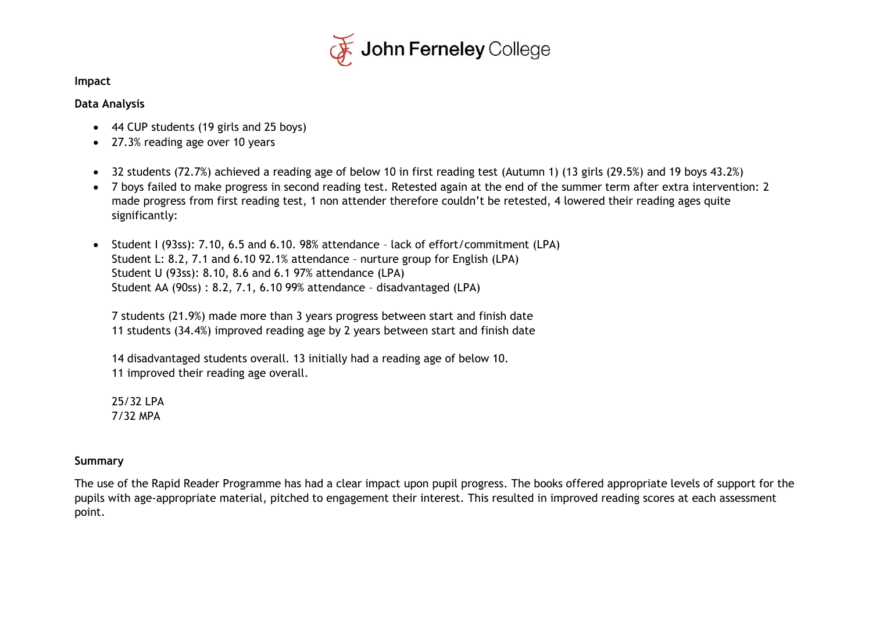

**Impact**

#### **Data Analysis**

- 44 CUP students (19 girls and 25 boys)
- 27.3% reading age over 10 years
- 32 students (72.7%) achieved a reading age of below 10 in first reading test (Autumn 1) (13 girls (29.5%) and 19 boys 43.2%)
- 7 boys failed to make progress in second reading test. Retested again at the end of the summer term after extra intervention: 2 made progress from first reading test, 1 non attender therefore couldn't be retested, 4 lowered their reading ages quite significantly:
- Student I (93ss): 7.10, 6.5 and 6.10. 98% attendance lack of effort/commitment (LPA) Student L: 8.2, 7.1 and 6.10 92.1% attendance – nurture group for English (LPA) Student U (93ss): 8.10, 8.6 and 6.1 97% attendance (LPA) Student AA (90ss) : 8.2, 7.1, 6.10 99% attendance – disadvantaged (LPA)

7 students (21.9%) made more than 3 years progress between start and finish date 11 students (34.4%) improved reading age by 2 years between start and finish date

14 disadvantaged students overall. 13 initially had a reading age of below 10. 11 improved their reading age overall.

25/32 LPA 7/32 MPA

#### **Summary**

The use of the Rapid Reader Programme has had a clear impact upon pupil progress. The books offered appropriate levels of support for the pupils with age-appropriate material, pitched to engagement their interest. This resulted in improved reading scores at each assessment point.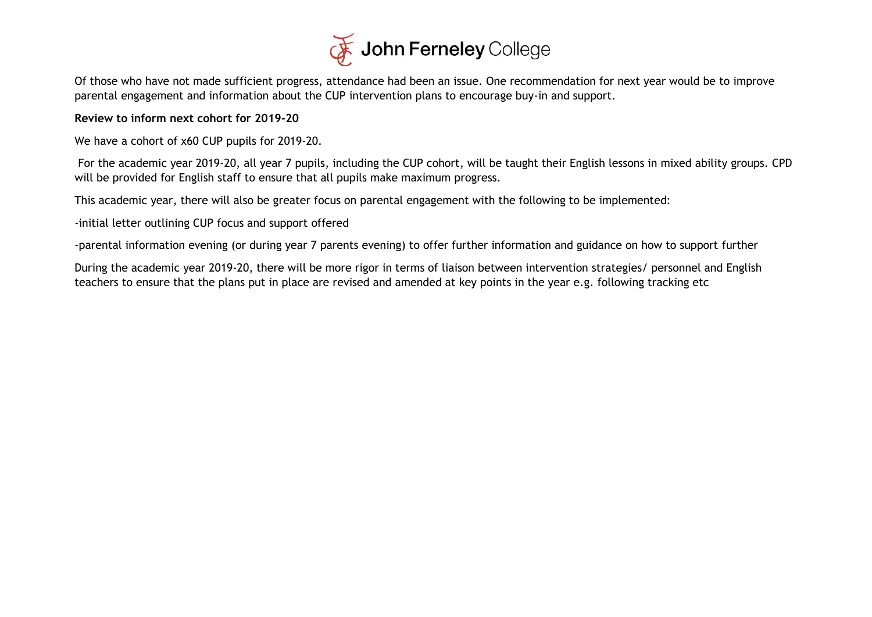

Of those who have not made sufficient progress, attendance had been an issue. One recommendation for next year would be to improve parental engagement and information about the CUP intervention plans to encourage buy-in and support.

#### **Review to inform next cohort for 2019-20**

We have a cohort of x60 CUP pupils for 2019-20.

For the academic year 2019-20, all year 7 pupils, including the CUP cohort, will be taught their English lessons in mixed ability groups. CPD will be provided for English staff to ensure that all pupils make maximum progress.

This academic year, there will also be greater focus on parental engagement with the following to be implemented:

-initial letter outlining CUP focus and support offered

-parental information evening (or during year 7 parents evening) to offer further information and guidance on how to support further

During the academic year 2019-20, there will be more rigor in terms of liaison between intervention strategies/ personnel and English teachers to ensure that the plans put in place are revised and amended at key points in the year e.g. following tracking etc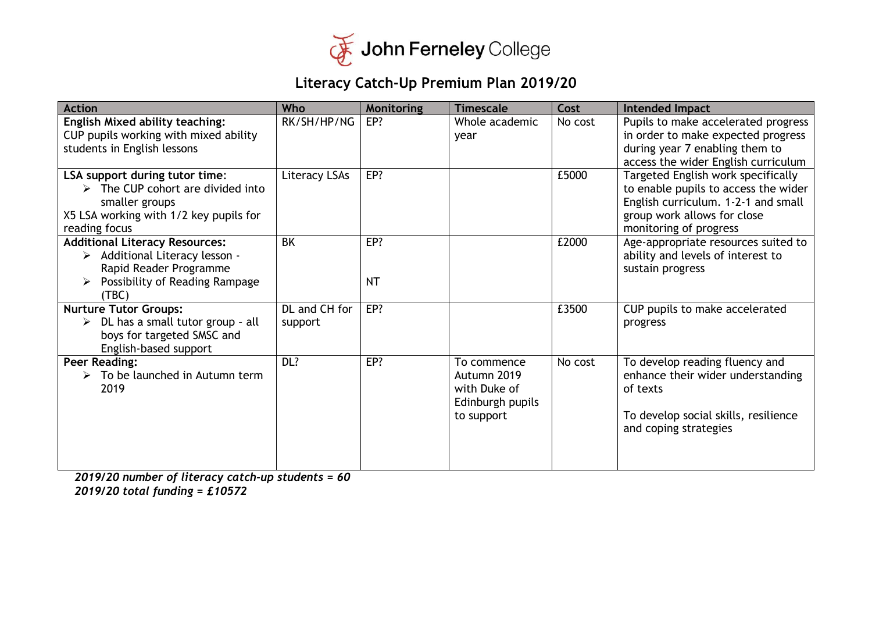

## **Literacy Catch-Up Premium Plan 2019/20**

| <b>Action</b>                                                                                                                                                   | Who                      | Monitoring       | <b>Timescale</b>                                                             | Cost    | Intended Impact                                                                                                                                                            |
|-----------------------------------------------------------------------------------------------------------------------------------------------------------------|--------------------------|------------------|------------------------------------------------------------------------------|---------|----------------------------------------------------------------------------------------------------------------------------------------------------------------------------|
| <b>English Mixed ability teaching:</b><br>CUP pupils working with mixed ability<br>students in English lessons                                                  | RK/SH/HP/NG              | EP?              | Whole academic<br>year                                                       | No cost | Pupils to make accelerated progress<br>in order to make expected progress<br>during year 7 enabling them to<br>access the wider English curriculum                         |
| LSA support during tutor time:<br>$\triangleright$ The CUP cohort are divided into<br>smaller groups<br>X5 LSA working with 1/2 key pupils for<br>reading focus | Literacy LSAs            | EP?              |                                                                              | £5000   | Targeted English work specifically<br>to enable pupils to access the wider<br>English curriculum. 1-2-1 and small<br>group work allows for close<br>monitoring of progress |
| <b>Additional Literacy Resources:</b><br>> Additional Literacy lesson -<br>Rapid Reader Programme<br>Possibility of Reading Rampage<br>(TBC)                    | <b>BK</b>                | EP?<br><b>NT</b> |                                                                              | £2000   | Age-appropriate resources suited to<br>ability and levels of interest to<br>sustain progress                                                                               |
| <b>Nurture Tutor Groups:</b><br>DL has a small tutor group - all<br>➤<br>boys for targeted SMSC and<br>English-based support                                    | DL and CH for<br>support | EP?              |                                                                              | £3500   | CUP pupils to make accelerated<br>progress                                                                                                                                 |
| <b>Peer Reading:</b><br>$\triangleright$ To be launched in Autumn term<br>2019                                                                                  | DL?                      | EP?              | To commence<br>Autumn 2019<br>with Duke of<br>Edinburgh pupils<br>to support | No cost | To develop reading fluency and<br>enhance their wider understanding<br>of texts<br>To develop social skills, resilience<br>and coping strategies                           |

*2019/20 number of literacy catch-up students = 60 2019/20 total funding = £10572*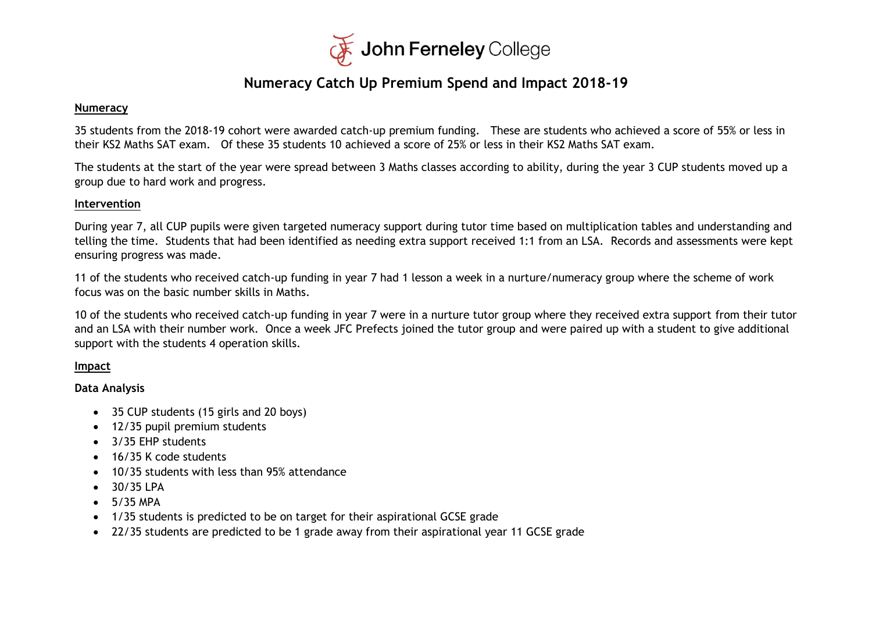

### **Numeracy Catch Up Premium Spend and Impact 2018-19**

#### **Numeracy**

35 students from the 2018-19 cohort were awarded catch-up premium funding. These are students who achieved a score of 55% or less in their KS2 Maths SAT exam. Of these 35 students 10 achieved a score of 25% or less in their KS2 Maths SAT exam.

The students at the start of the year were spread between 3 Maths classes according to ability, during the year 3 CUP students moved up a group due to hard work and progress.

#### **Intervention**

During year 7, all CUP pupils were given targeted numeracy support during tutor time based on multiplication tables and understanding and telling the time. Students that had been identified as needing extra support received 1:1 from an LSA. Records and assessments were kept ensuring progress was made.

11 of the students who received catch-up funding in year 7 had 1 lesson a week in a nurture/numeracy group where the scheme of work focus was on the basic number skills in Maths.

10 of the students who received catch-up funding in year 7 were in a nurture tutor group where they received extra support from their tutor and an LSA with their number work. Once a week JFC Prefects joined the tutor group and were paired up with a student to give additional support with the students 4 operation skills.

#### **Impact**

#### **Data Analysis**

- 35 CUP students (15 girls and 20 boys)
- 12/35 pupil premium students
- 3/35 EHP students
- 16/35 K code students
- 10/35 students with less than 95% attendance
- $30/35$  IPA
- $\bullet$  5/35 MPA
- 1/35 students is predicted to be on target for their aspirational GCSE grade
- 22/35 students are predicted to be 1 grade away from their aspirational year 11 GCSE grade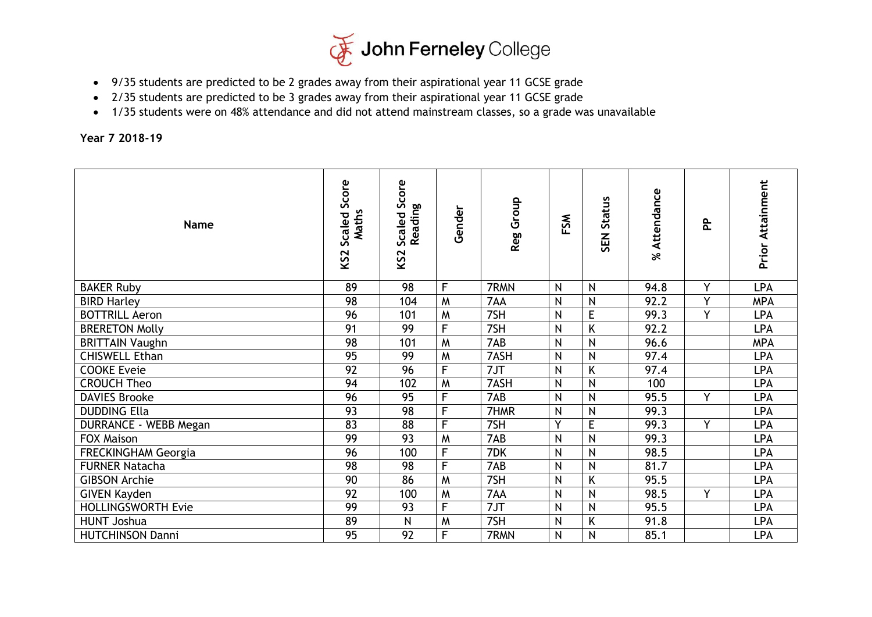

- 9/35 students are predicted to be 2 grades away from their aspirational year 11 GCSE grade
- 2/35 students are predicted to be 3 grades away from their aspirational year 11 GCSE grade
- 1/35 students were on 48% attendance and did not attend mainstream classes, so a grade was unavailable

**Year 7 2018-19**

| <b>Name</b>                  | Score<br>Maths<br>Scaled<br>KS <sub>2</sub> | Score<br>Reading<br>Scaled<br>KS <sub>2</sub> | Gender         | Reg Group | $\mathsf{g}$<br>ட | <b>Status</b><br><b>N3S</b> | % Attendance | 운 | <b>Prior Attainment</b> |
|------------------------------|---------------------------------------------|-----------------------------------------------|----------------|-----------|-------------------|-----------------------------|--------------|---|-------------------------|
| <b>BAKER Ruby</b>            | 89                                          | 98                                            | F              | 7RMN      | N                 | N                           | 94.8         | Y | <b>LPA</b>              |
| <b>BIRD Harley</b>           | 98                                          | 104                                           | M              | 7AA       | N                 | N                           | 92.2         | Y | <b>MPA</b>              |
| <b>BOTTRILL Aeron</b>        | 96                                          | 101                                           | M              | 7SH       | N                 | E                           | 99.3         | Y | LPA                     |
| <b>BRERETON Molly</b>        | 91                                          | 99                                            | F              | 7SH       | N                 | K                           | 92.2         |   | <b>LPA</b>              |
| <b>BRITTAIN Vaughn</b>       | 98                                          | 101                                           | M              | 7AB       | N                 | N                           | 96.6         |   | <b>MPA</b>              |
| <b>CHISWELL Ethan</b>        | 95                                          | 99                                            | M              | 7ASH      | N                 | N                           | 97.4         |   | <b>LPA</b>              |
| <b>COOKE Eveie</b>           | 92                                          | 96                                            | F              | 7JT       | N                 | K                           | 97.4         |   | LPA                     |
| <b>CROUCH Theo</b>           | 94                                          | 102                                           | M              | 7ASH      | N                 | $\overline{\mathsf{N}}$     | 100          |   | LPA                     |
| <b>DAVIES Brooke</b>         | 96                                          | 95                                            | F              | 7AB       | N                 | $\overline{N}$              | 95.5         | Y | <b>LPA</b>              |
| <b>DUDDING Ella</b>          | 93                                          | 98                                            | F              | 7HMR      | N                 | N                           | 99.3         |   | <b>LPA</b>              |
| <b>DURRANCE - WEBB Megan</b> | 83                                          | 88                                            | F              | 7SH       | Y                 | E                           | 99.3         | Y | LPA                     |
| FOX Maison                   | 99                                          | 93                                            | M              | 7AB       | N                 | $\overline{\mathsf{N}}$     | 99.3         |   | LPA                     |
| <b>FRECKINGHAM Georgia</b>   | 96                                          | 100                                           | F              | 7DK       | N                 | $\overline{N}$              | 98.5         |   | <b>LPA</b>              |
| <b>FURNER Natacha</b>        | 98                                          | 98                                            | F              | 7AB       | N                 | N                           | 81.7         |   | LPA                     |
| <b>GIBSON Archie</b>         | 90                                          | 86                                            | M              | 7SH       | N                 | K                           | 95.5         |   | LPA                     |
| <b>GIVEN Kayden</b>          | 92                                          | 100                                           | M              | 7AA       | N                 | $\overline{\mathsf{N}}$     | 98.5         | Y | LPA                     |
| <b>HOLLINGSWORTH Evie</b>    | 99                                          | 93                                            | $\overline{F}$ | 7JT       | N                 | N                           | 95.5         |   | <b>LPA</b>              |
| <b>HUNT Joshua</b>           | 89                                          | $\mathsf{N}$                                  | M              | 7SH       | N                 | Κ                           | 91.8         |   | LPA                     |
| <b>HUTCHINSON Danni</b>      | $\overline{95}$                             | 92                                            | F              | 7RMN      | N                 | N                           | 85.1         |   | LPA                     |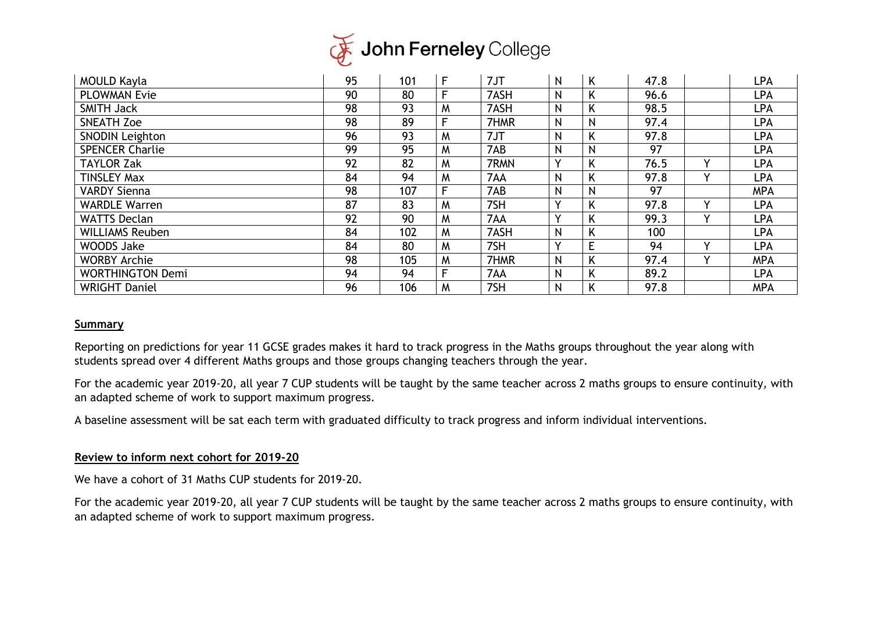

| <b>MOULD Kayla</b>      | 95 | 101 | $\mathsf{F}$ | 7JT  | N | K            | 47.8 |              | LPA        |
|-------------------------|----|-----|--------------|------|---|--------------|------|--------------|------------|
| <b>PLOWMAN Evie</b>     | 90 | 80  | F            | 7ASH | N | Κ            | 96.6 |              | LPA        |
| <b>SMITH Jack</b>       | 98 | 93  | M            | 7ASH | N | K            | 98.5 |              | LPA        |
| <b>SNEATH Zoe</b>       | 98 | 89  | F            | 7HMR | N | $\mathsf{N}$ | 97.4 |              | LPA        |
| <b>SNODIN Leighton</b>  | 96 | 93  | M            | 7JT  | N | Κ            | 97.8 |              | LPA        |
| <b>SPENCER Charlie</b>  | 99 | 95  | M            | 7AB  | N | $\mathsf{N}$ | 97   |              | LPA        |
| <b>TAYLOR Zak</b>       | 92 | 82  | M            | 7RMN | v | Κ            | 76.5 | $\checkmark$ | LPA        |
| <b>TINSLEY Max</b>      | 84 | 94  | M            | 7AA  | N | Κ            | 97.8 | $\vee$       | LPA        |
| <b>VARDY Sienna</b>     | 98 | 107 | F            | 7AB  | N | N            | 97   |              | <b>MPA</b> |
| <b>WARDLE Warren</b>    | 87 | 83  | M            | 7SH  | v | Κ            | 97.8 | $\checkmark$ | <b>LPA</b> |
| <b>WATTS Declan</b>     | 92 | 90  | M            | 7AA  |   | Κ            | 99.3 | $\checkmark$ | LPA        |
| <b>WILLIAMS Reuben</b>  | 84 | 102 | M            | 7ASH | N | Κ            | 100  |              | LPA        |
| WOODS Jake              | 84 | 80  | M            | 7SH  |   | E            | 94   | $\checkmark$ | LPA        |
| <b>WORBY Archie</b>     | 98 | 105 | M            | 7HMR | Ν |              | 97.4 | $\checkmark$ | <b>MPA</b> |
| <b>WORTHINGTON Demi</b> | 94 | 94  | F            | 7AA  | N | K            | 89.2 |              | <b>LPA</b> |
| <b>WRIGHT Daniel</b>    | 96 | 106 | M            | 7SH  | N | Κ            | 97.8 |              | <b>MPA</b> |

#### **Summary**

Reporting on predictions for year 11 GCSE grades makes it hard to track progress in the Maths groups throughout the year along with students spread over 4 different Maths groups and those groups changing teachers through the year.

For the academic year 2019-20, all year 7 CUP students will be taught by the same teacher across 2 maths groups to ensure continuity, with an adapted scheme of work to support maximum progress.

A baseline assessment will be sat each term with graduated difficulty to track progress and inform individual interventions.

#### **Review to inform next cohort for 2019-20**

We have a cohort of 31 Maths CUP students for 2019-20.

For the academic year 2019-20, all year 7 CUP students will be taught by the same teacher across 2 maths groups to ensure continuity, with an adapted scheme of work to support maximum progress.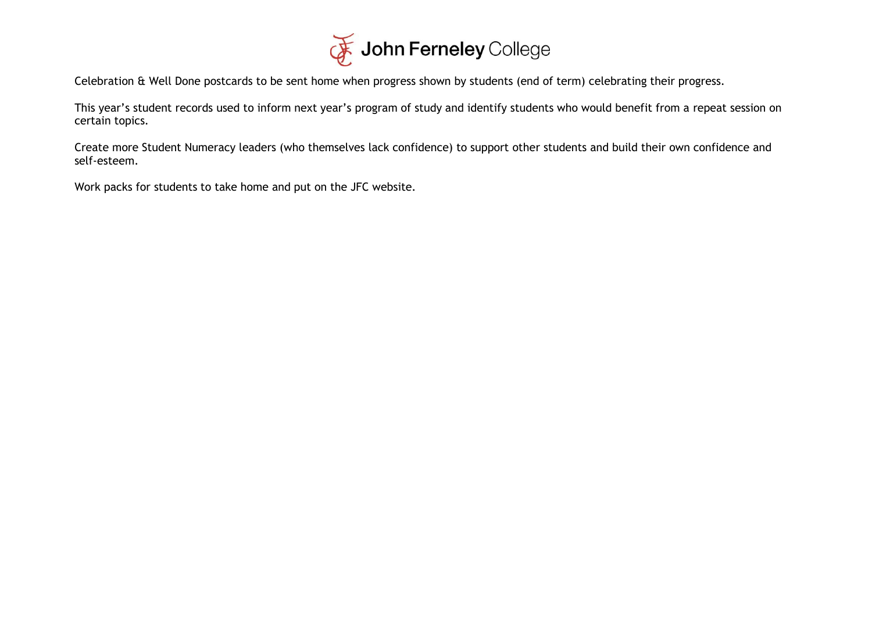

Celebration & Well Done postcards to be sent home when progress shown by students (end of term) celebrating their progress.

This year's student records used to inform next year's program of study and identify students who would benefit from a repeat session on certain topics.

Create more Student Numeracy leaders (who themselves lack confidence) to support other students and build their own confidence and self-esteem.

Work packs for students to take home and put on the JFC website.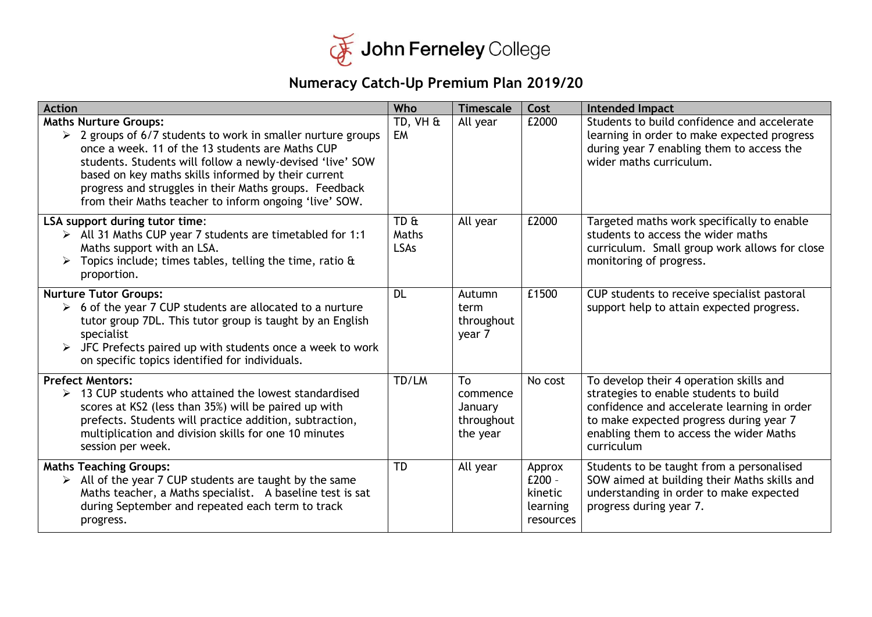

# **Numeracy Catch-Up Premium Plan 2019/20**

| <b>Action</b>                                                                                                                                                                                                                                                                                                                                                                                 | Who                          | <b>Timescale</b>                                    | Cost                                                   | Intended Impact                                                                                                                                                                                                                      |
|-----------------------------------------------------------------------------------------------------------------------------------------------------------------------------------------------------------------------------------------------------------------------------------------------------------------------------------------------------------------------------------------------|------------------------------|-----------------------------------------------------|--------------------------------------------------------|--------------------------------------------------------------------------------------------------------------------------------------------------------------------------------------------------------------------------------------|
| <b>Maths Nurture Groups:</b><br>$\geq$ 2 groups of 6/7 students to work in smaller nurture groups<br>once a week. 11 of the 13 students are Maths CUP<br>students. Students will follow a newly-devised 'live' SOW<br>based on key maths skills informed by their current<br>progress and struggles in their Maths groups. Feedback<br>from their Maths teacher to inform ongoing 'live' SOW. | TD, VH &<br><b>EM</b>        | All year                                            | £2000                                                  | Students to build confidence and accelerate<br>learning in order to make expected progress<br>during year 7 enabling them to access the<br>wider maths curriculum.                                                                   |
| LSA support during tutor time:<br>> All 31 Maths CUP year 7 students are timetabled for 1:1<br>Maths support with an LSA.<br>Topics include; times tables, telling the time, ratio $\alpha$<br>proportion.                                                                                                                                                                                    | TD &<br>Maths<br><b>LSAs</b> | All year                                            | £2000                                                  | Targeted maths work specifically to enable<br>students to access the wider maths<br>curriculum. Small group work allows for close<br>monitoring of progress.                                                                         |
| <b>Nurture Tutor Groups:</b><br>$\triangleright$ 6 of the year 7 CUP students are allocated to a nurture<br>tutor group 7DL. This tutor group is taught by an English<br>specialist<br>JFC Prefects paired up with students once a week to work<br>on specific topics identified for individuals.                                                                                             | <b>DL</b>                    | Autumn<br>term<br>throughout<br>year 7              | £1500                                                  | CUP students to receive specialist pastoral<br>support help to attain expected progress.                                                                                                                                             |
| <b>Prefect Mentors:</b><br>$\geq$ 13 CUP students who attained the lowest standardised<br>scores at KS2 (less than 35%) will be paired up with<br>prefects. Students will practice addition, subtraction,<br>multiplication and division skills for one 10 minutes<br>session per week.                                                                                                       | TD/LM                        | To<br>commence<br>January<br>throughout<br>the year | No cost                                                | To develop their 4 operation skills and<br>strategies to enable students to build<br>confidence and accelerate learning in order<br>to make expected progress during year 7<br>enabling them to access the wider Maths<br>curriculum |
| <b>Maths Teaching Groups:</b><br>$\triangleright$ All of the year 7 CUP students are taught by the same<br>Maths teacher, a Maths specialist. A baseline test is sat<br>during September and repeated each term to track<br>progress.                                                                                                                                                         | TD                           | All year                                            | Approx<br>$E200 -$<br>kinetic<br>learning<br>resources | Students to be taught from a personalised<br>SOW aimed at building their Maths skills and<br>understanding in order to make expected<br>progress during year 7.                                                                      |